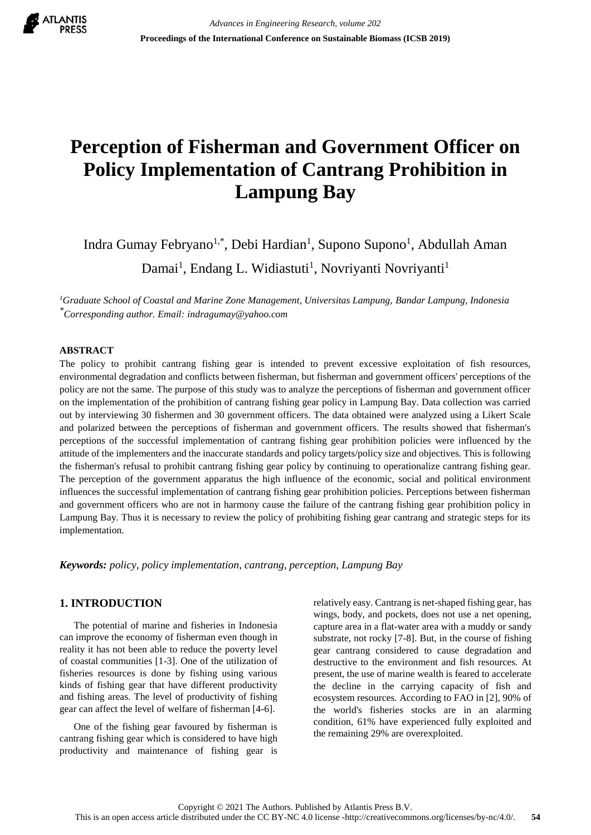

# **Perception of Fisherman and Government Officer on Policy Implementation of Cantrang Prohibition in Lampung Bay**

Indra Gumay Febryano<sup>1,\*</sup>, Debi Hardian<sup>1</sup>, Supono Supono<sup>1</sup>, Abdullah Aman Damai<sup>1</sup>, Endang L. Widiastuti<sup>1</sup>, Novriyanti Novriyanti<sup>1</sup>

*<sup>1</sup>Graduate School of Coastal and Marine Zone Management, Universitas Lampung, Bandar Lampung, Indonesia \*Corresponding author. Email: indragumay@yahoo.com*

## **ABSTRACT**

The policy to prohibit cantrang fishing gear is intended to prevent excessive exploitation of fish resources, environmental degradation and conflicts between fisherman, but fisherman and government officers' perceptions of the policy are not the same. The purpose of this study was to analyze the perceptions of fisherman and government officer on the implementation of the prohibition of cantrang fishing gear policy in Lampung Bay. Data collection was carried out by interviewing 30 fishermen and 30 government officers. The data obtained were analyzed using a Likert Scale and polarized between the perceptions of fisherman and government officers. The results showed that fisherman's perceptions of the successful implementation of cantrang fishing gear prohibition policies were influenced by the attitude of the implementers and the inaccurate standards and policy targets/policy size and objectives. This is following the fisherman's refusal to prohibit cantrang fishing gear policy by continuing to operationalize cantrang fishing gear. The perception of the government apparatus the high influence of the economic, social and political environment influences the successful implementation of cantrang fishing gear prohibition policies. Perceptions between fisherman and government officers who are not in harmony cause the failure of the cantrang fishing gear prohibition policy in Lampung Bay. Thus it is necessary to review the policy of prohibiting fishing gear cantrang and strategic steps for its implementation.

*Keywords: policy, policy implementation, cantrang, perception, Lampung Bay*

# **1. INTRODUCTION**

The potential of marine and fisheries in Indonesia can improve the economy of fisherman even though in reality it has not been able to reduce the poverty level of coastal communities [1-3]. One of the utilization of fisheries resources is done by fishing using various kinds of fishing gear that have different productivity and fishing areas. The level of productivity of fishing gear can affect the level of welfare of fisherman [4-6].

One of the fishing gear favoured by fisherman is cantrang fishing gear which is considered to have high productivity and maintenance of fishing gear is

relatively easy. Cantrang is net-shaped fishing gear, has wings, body, and pockets, does not use a net opening, capture area in a flat-water area with a muddy or sandy substrate, not rocky [7-8]. But, in the course of fishing gear cantrang considered to cause degradation and destructive to the environment and fish resources. At present, the use of marine wealth is feared to accelerate the decline in the carrying capacity of fish and ecosystem resources. According to FAO in [2], 90% of the world's fisheries stocks are in an alarming condition, 61% have experienced fully exploited and the remaining 29% are overexploited.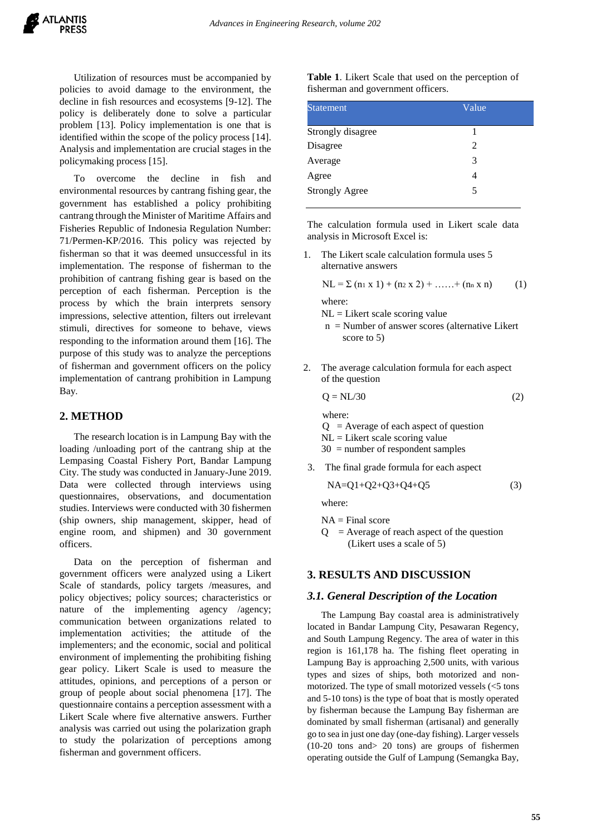Utilization of resources must be accompanied by policies to avoid damage to the environment, the decline in fish resources and ecosystems [9-12]. The policy is deliberately done to solve a particular problem [13]. Policy implementation is one that is identified within the scope of the policy process [14]. Analysis and implementation are crucial stages in the policymaking process [15].

To overcome the decline in fish and environmental resources by cantrang fishing gear, the government has established a policy prohibiting cantrang through the Minister of Maritime Affairs and Fisheries Republic of Indonesia Regulation Number: 71/Permen-KP/2016. This policy was rejected by fisherman so that it was deemed unsuccessful in its implementation. The response of fisherman to the prohibition of cantrang fishing gear is based on the perception of each fisherman. Perception is the process by which the brain interprets sensory impressions, selective attention, filters out irrelevant stimuli, directives for someone to behave, views responding to the information around them [16]. The purpose of this study was to analyze the perceptions of fisherman and government officers on the policy implementation of cantrang prohibition in Lampung Bay.

#### **2. METHOD**

The research location is in Lampung Bay with the loading /unloading port of the cantrang ship at the Lempasing Coastal Fishery Port, Bandar Lampung City. The study was conducted in January-June 2019. Data were collected through interviews using questionnaires, observations, and documentation studies. Interviews were conducted with 30 fishermen (ship owners, ship management, skipper, head of engine room, and shipmen) and 30 government officers.

Data on the perception of fisherman and government officers were analyzed using a Likert Scale of standards, policy targets /measures, and policy objectives; policy sources; characteristics or nature of the implementing agency /agency; communication between organizations related to implementation activities; the attitude of the implementers; and the economic, social and political environment of implementing the prohibiting fishing gear policy. Likert Scale is used to measure the attitudes, opinions, and perceptions of a person or group of people about social phenomena [17]. The questionnaire contains a perception assessment with a Likert Scale where five alternative answers. Further analysis was carried out using the polarization graph to study the polarization of perceptions among fisherman and government officers.

**Table 1**. Likert Scale that used on the perception of fisherman and government officers.

| <b>Statement</b>      | Value |  |
|-----------------------|-------|--|
| Strongly disagree     |       |  |
| Disagree              | 2     |  |
| Average               | 3     |  |
| Agree                 | 4     |  |
| <b>Strongly Agree</b> | 5     |  |

The calculation formula used in Likert scale data analysis in Microsoft Excel is:

1. The Likert scale calculation formula uses 5 alternative answers

$$
NL = \sum (n_1 x 1) + (n_2 x 2) + \dots + (n_n x n)
$$
 (1)

where:

- $NL =$  Likert scale scoring value
- n = Number of answer scores (alternative Likert score to 5)
- 2. The average calculation formula for each aspect of the question

$$
Q = NL/30 \tag{2}
$$

 where:  $Q =$  Average of each aspect of question

 $NL =$  Likert scale scoring value

30 = number of respondent samples

3. The final grade formula for each aspect

$$
NA = Q1 + Q2 + Q3 + Q4 + Q5
$$
 (3)

where:

 $NA = Final score$ 

 $Q =$  Average of reach aspect of the question (Likert uses a scale of 5)

## **3. RESULTS AND DISCUSSION**

#### *3.1. General Description of the Location*

The Lampung Bay coastal area is administratively located in Bandar Lampung City, Pesawaran Regency, and South Lampung Regency. The area of water in this region is 161,178 ha. The fishing fleet operating in Lampung Bay is approaching 2,500 units, with various types and sizes of ships, both motorized and nonmotorized. The type of small motorized vessels (<5 tons and 5-10 tons) is the type of boat that is mostly operated by fisherman because the Lampung Bay fisherman are dominated by small fisherman (artisanal) and generally go to sea in just one day (one-day fishing). Larger vessels (10-20 tons and> 20 tons) are groups of fishermen operating outside the Gulf of Lampung (Semangka Bay,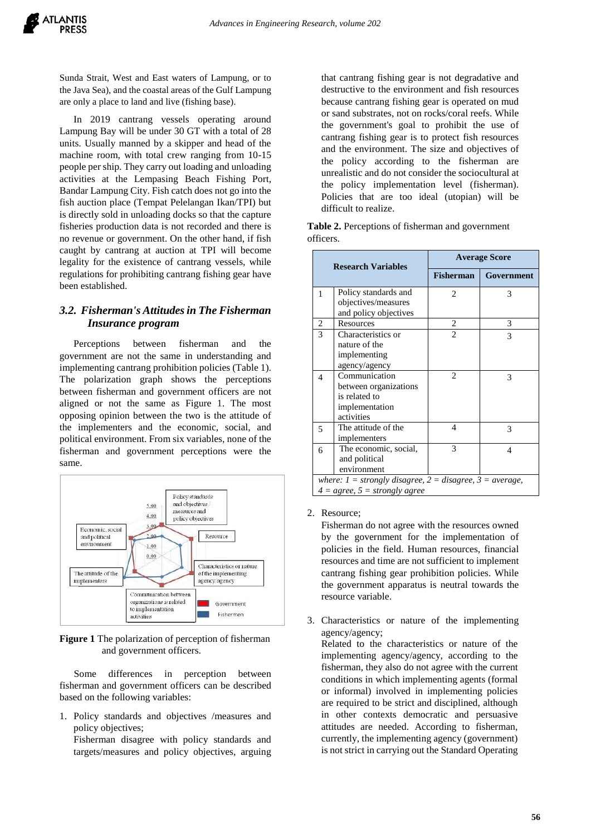Sunda Strait, West and East waters of Lampung, or to the Java Sea), and the coastal areas of the Gulf Lampung are only a place to land and live (fishing base).

In 2019 cantrang vessels operating around Lampung Bay will be under 30 GT with a total of 28 units. Usually manned by a skipper and head of the machine room, with total crew ranging from 10-15 people per ship. They carry out loading and unloading activities at the Lempasing Beach Fishing Port, Bandar Lampung City. Fish catch does not go into the fish auction place (Tempat Pelelangan Ikan/TPI) but is directly sold in unloading docks so that the capture fisheries production data is not recorded and there is no revenue or government. On the other hand, if fish caught by cantrang at auction at TPI will become legality for the existence of cantrang vessels, while regulations for prohibiting cantrang fishing gear have been established.

## *3.2. Fisherman's Attitudes in The Fisherman Insurance program*

Perceptions between fisherman and the government are not the same in understanding and implementing cantrang prohibition policies (Table 1). The polarization graph shows the perceptions between fisherman and government officers are not aligned or not the same as Figure 1. The most opposing opinion between the two is the attitude of the implementers and the economic, social, and political environment. From six variables, none of the fisherman and government perceptions were the same.



**Figure 1** The polarization of perception of fisherman and government officers.

Some differences in perception between fisherman and government officers can be described based on the following variables:

1. Policy standards and objectives /measures and policy objectives;

Fisherman disagree with policy standards and targets/measures and policy objectives, arguing that cantrang fishing gear is not degradative and destructive to the environment and fish resources because cantrang fishing gear is operated on mud or sand substrates, not on rocks/coral reefs. While the government's goal to prohibit the use of cantrang fishing gear is to protect fish resources and the environment. The size and objectives of the policy according to the fisherman are unrealistic and do not consider the sociocultural at the policy implementation level (fisherman). Policies that are too ideal (utopian) will be difficult to realize.

**Table 2.** Perceptions of fisherman and government officers.

| <b>Research Variables</b>                                      |                                 | <b>Average Score</b> |            |  |  |
|----------------------------------------------------------------|---------------------------------|----------------------|------------|--|--|
|                                                                |                                 | <b>Fisherman</b>     | Government |  |  |
| 1                                                              | Policy standards and            | $\overline{c}$       | 3          |  |  |
|                                                                | objectives/measures             |                      |            |  |  |
|                                                                | and policy objectives           |                      |            |  |  |
| 2                                                              | Resources                       | 2                    | 3          |  |  |
| 3                                                              | Characteristics or              | 2                    | 3          |  |  |
|                                                                | nature of the                   |                      |            |  |  |
|                                                                | implementing                    |                      |            |  |  |
|                                                                | agency/agency                   |                      |            |  |  |
| $\overline{4}$                                                 | Communication                   | 2                    | 3          |  |  |
|                                                                | between organizations           |                      |            |  |  |
|                                                                | is related to                   |                      |            |  |  |
|                                                                | implementation                  |                      |            |  |  |
|                                                                | activities                      |                      |            |  |  |
| 5                                                              | The attitude of the             | $\overline{4}$       | 3          |  |  |
|                                                                | implementers                    |                      |            |  |  |
| 6                                                              | The economic, social,           | 3                    | 4          |  |  |
|                                                                | and political                   |                      |            |  |  |
|                                                                | environment                     |                      |            |  |  |
| where: $1 =$ strongly disagree, $2 =$ disagree, $3 =$ average, |                                 |                      |            |  |  |
|                                                                | $4 = agree, 5 = strongly agree$ |                      |            |  |  |

2. Resource;

Fisherman do not agree with the resources owned by the government for the implementation of policies in the field. Human resources, financial resources and time are not sufficient to implement cantrang fishing gear prohibition policies. While the government apparatus is neutral towards the resource variable.

3. Characteristics or nature of the implementing agency/agency;

Related to the characteristics or nature of the implementing agency/agency, according to the fisherman, they also do not agree with the current conditions in which implementing agents (formal or informal) involved in implementing policies are required to be strict and disciplined, although in other contexts democratic and persuasive attitudes are needed. According to fisherman, currently, the implementing agency (government) is not strict in carrying out the Standard Operating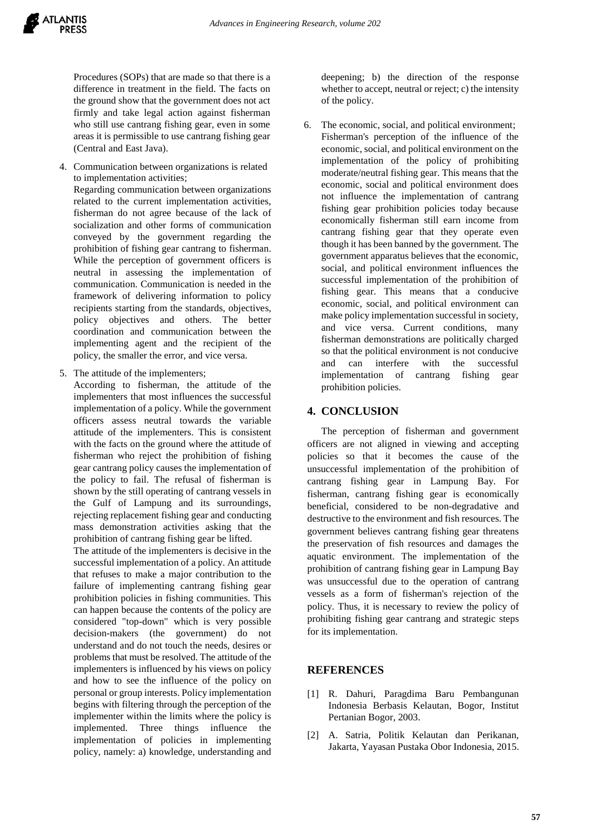Procedures (SOPs) that are made so that there is a difference in treatment in the field. The facts on the ground show that the government does not act firmly and take legal action against fisherman who still use cantrang fishing gear, even in some areas it is permissible to use cantrang fishing gear (Central and East Java).

4. Communication between organizations is related to implementation activities;

Regarding communication between organizations related to the current implementation activities, fisherman do not agree because of the lack of socialization and other forms of communication conveyed by the government regarding the prohibition of fishing gear cantrang to fisherman. While the perception of government officers is neutral in assessing the implementation of communication. Communication is needed in the framework of delivering information to policy recipients starting from the standards, objectives, policy objectives and others. The better coordination and communication between the implementing agent and the recipient of the policy, the smaller the error, and vice versa.

5. The attitude of the implementers;

According to fisherman, the attitude of the implementers that most influences the successful implementation of a policy. While the government officers assess neutral towards the variable attitude of the implementers. This is consistent with the facts on the ground where the attitude of fisherman who reject the prohibition of fishing gear cantrang policy causes the implementation of the policy to fail. The refusal of fisherman is shown by the still operating of cantrang vessels in the Gulf of Lampung and its surroundings, rejecting replacement fishing gear and conducting mass demonstration activities asking that the prohibition of cantrang fishing gear be lifted.

The attitude of the implementers is decisive in the successful implementation of a policy. An attitude that refuses to make a major contribution to the failure of implementing cantrang fishing gear prohibition policies in fishing communities. This can happen because the contents of the policy are considered "top-down" which is very possible decision-makers (the government) do not understand and do not touch the needs, desires or problems that must be resolved. The attitude of the implementers is influenced by his views on policy and how to see the influence of the policy on personal or group interests. Policy implementation begins with filtering through the perception of the implementer within the limits where the policy is implemented. Three things influence the implementation of policies in implementing policy, namely: a) knowledge, understanding and

deepening; b) the direction of the response whether to accept, neutral or reject; c) the intensity of the policy.

6. The economic, social, and political environment; Fisherman's perception of the influence of the economic, social, and political environment on the implementation of the policy of prohibiting moderate/neutral fishing gear. This means that the economic, social and political environment does not influence the implementation of cantrang fishing gear prohibition policies today because economically fisherman still earn income from cantrang fishing gear that they operate even though it has been banned by the government. The government apparatus believes that the economic, social, and political environment influences the successful implementation of the prohibition of fishing gear. This means that a conducive economic, social, and political environment can make policy implementation successful in society, and vice versa. Current conditions, many fisherman demonstrations are politically charged so that the political environment is not conducive and can interfere with the successful implementation of cantrang fishing gear prohibition policies.

## **4. CONCLUSION**

The perception of fisherman and government officers are not aligned in viewing and accepting policies so that it becomes the cause of the unsuccessful implementation of the prohibition of cantrang fishing gear in Lampung Bay. For fisherman, cantrang fishing gear is economically beneficial, considered to be non-degradative and destructive to the environment and fish resources. The government believes cantrang fishing gear threatens the preservation of fish resources and damages the aquatic environment. The implementation of the prohibition of cantrang fishing gear in Lampung Bay was unsuccessful due to the operation of cantrang vessels as a form of fisherman's rejection of the policy. Thus, it is necessary to review the policy of prohibiting fishing gear cantrang and strategic steps for its implementation.

## **REFERENCES**

- [1] R. Dahuri, Paragdima Baru Pembangunan Indonesia Berbasis Kelautan, Bogor, Institut Pertanian Bogor, 2003.
- [2] A. Satria, Politik Kelautan dan Perikanan, Jakarta, Yayasan Pustaka Obor Indonesia, 2015.